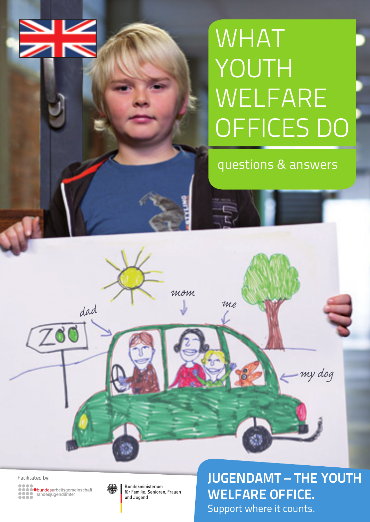# V

# **WHAT** YOUTH **WELFARE** OFFICES DO

questions & answers

 $200$ 



*dad*

für Familie, Senioren, Frauen und Jugend

*mom*

*me*

Facilitated by:<br> **Facilitated by: Confidential Constant of the Supplemberg of the Supplemberg of the Supplemberg of the Supplemberg of the Supplemberg of the Supplemberg of the Supplemberg of the Supplemberg of the Suppl** WELFARE OFFICE. Support where it counts.

*my dog*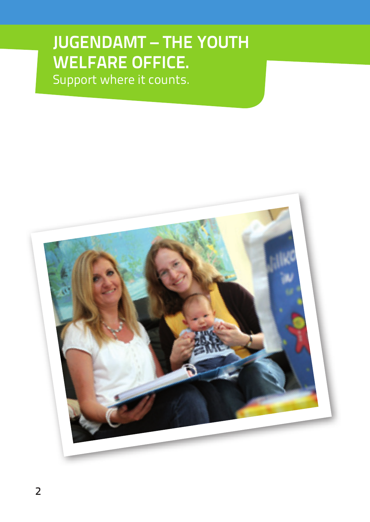# JUGENDAMT – THE YOUTH WELFARE OFFICE.

Support where it counts.

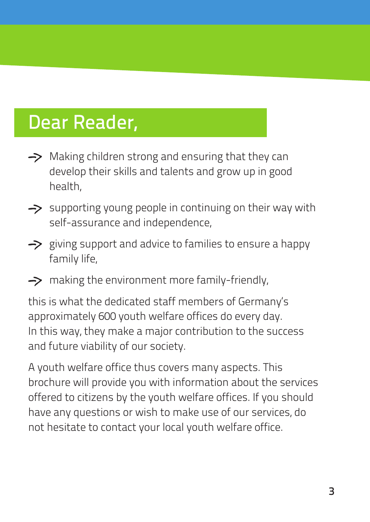# Dear Reader,

- $\rightarrow$  Making children strong and ensuring that they can develop their skills and talents and grow up in good health,
- $\rightarrow$  supporting young people in continuing on their way with self-assurance and independence,
- $\rightarrow$  giving support and advice to families to ensure a happy family life,
- $\rightarrow$  making the environment more family-friendly,

this is what the dedicated staff members of Germany's approximately 600 youth welfare offices do every day. In this way, they make a major contribution to the success and future viability of our society.

A youth welfare office thus covers many aspects. This brochure will provide you with information about the services offered to citizens by the youth welfare offices. If you should have any questions or wish to make use of our services, do not hesitate to contact your local youth welfare office.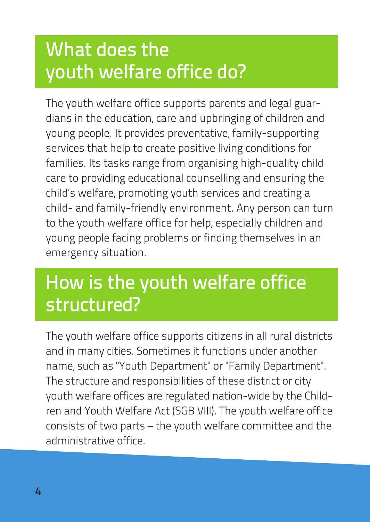# What does the youth welfare office do?

The youth welfare office supports parents and legal guardians in the education, care and upbringing of children and young people. It provides preventative, family-supporting services that help to create positive living conditions for families. Its tasks range from organising high-quality child care to providing educational counselling and ensuring the child's welfare, promoting youth services and creating a child- and family-friendly environment. Any person can turn to the youth welfare office for help, especially children and young people facing problems or finding themselves in an emergency situation.

# How is the youth welfare office structured?

The youth welfare office supports citizens in all rural districts and in many cities. Sometimes it functions under another name, such as "Youth Department" or "Family Department". The structure and responsibilities of these district or city youth welfare offices are regulated nation-wide by the Children and Youth Welfare Act (SGB VIII). The youth welfare office consists of two parts – the youth welfare committee and the administrative office.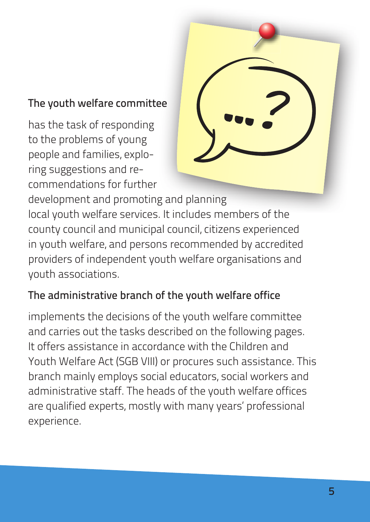## The youth welfare committee

has the task of responding to the problems of young people and families, exploring suggestions and recommendations for further



development and promoting and planning local youth welfare services. It includes members of the county council and municipal council, citizens experienced in youth welfare, and persons recommended by accredited providers of independent youth welfare organisations and youth associations.

## The administrative branch of the youth welfare office

implements the decisions of the youth welfare committee and carries out the tasks described on the following pages. It offers assistance in accordance with the Children and Youth Welfare Act (SGB VIII) or procures such assistance. This branch mainly employs social educators, social workers and administrative staff. The heads of the youth welfare offices are qualified experts, mostly with many years' professional experience.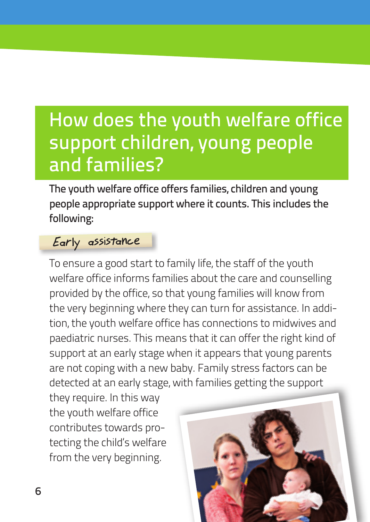# How does the youth welfare office support children, young people and families?

The youth welfare office offers families, children and young people appropriate support where it counts. This includes the following:

### Early assistance

To ensure a good start to family life, the staff of the youth welfare office informs families about the care and counselling provided by the office, so that young families will know from the very beginning where they can turn for assistance. In addition, the youth welfare office has connections to midwives and paediatric nurses. This means that it can offer the right kind of support at an early stage when it appears that young parents are not coping with a new baby. Family stress factors can be detected at an early stage, with families getting the support

they require. In this way the youth welfare office contributes towards protecting the child's welfare from the very beginning.

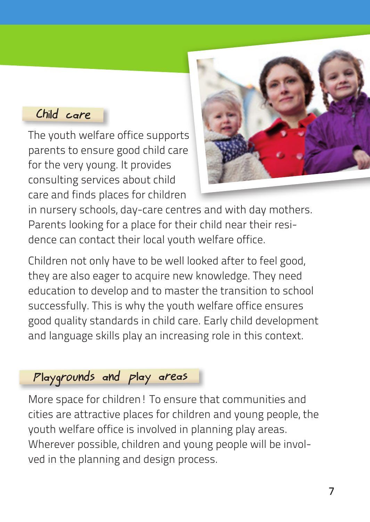## Child care

The youth welfare office supports parents to ensure good child care for the very young. It provides consulting services about child care and finds places for children



in nursery schools, day-care centres and with day mothers. Parents looking for a place for their child near their residence can contact their local youth welfare office.

Children not only have to be well looked after to feel good, they are also eager to acquire new knowledge. They need education to develop and to master the transition to school successfully. This is why the youth welfare office ensures good quality standards in child care. Early child development and language skills play an increasing role in this context.

## Playgrounds and play areas

More space for children! To ensure that communities and cities are attractive places for children and young people, the youth welfare office is involved in planning play areas. Wherever possible, children and young people will be involved in the planning and design process.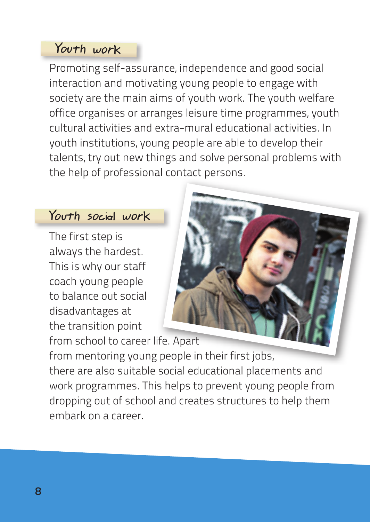## Youth work

Promoting self-assurance, independence and good social interaction and motivating young people to engage with society are the main aims of youth work. The youth welfare office organises or arranges leisure time programmes, youth cultural activities and extra-mural educational activities. In youth institutions, young people are able to develop their talents, try out new things and solve personal problems with the help of professional contact persons.

#### Youth social work

The first step is always the hardest. This is why our staff coach young people to balance out social disadvantages at the transition point from school to career life. Apart



from mentoring young people in their first jobs, there are also suitable social educational placements and work programmes. This helps to prevent young people from dropping out of school and creates structures to help them embark on a career.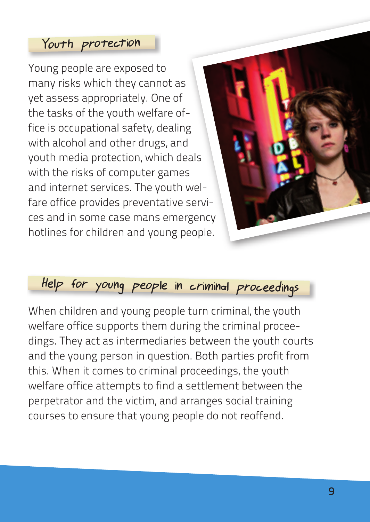#### Youth protection

Young people are exposed to many risks which they cannot as yet assess appropriately. One of the tasks of the youth welfare office is occupational safety, dealing with alcohol and other drugs, and youth media protection, which deals with the risks of computer games and internet services. The youth welfare office provides preventative services and in some case mans emergency hotlines for children and young people.



## Help for young people in criminal proceedings

When children and young people turn criminal, the youth welfare office supports them during the criminal proceedings. They act as intermediaries between the youth courts and the young person in question. Both parties profit from this. When it comes to criminal proceedings, the youth welfare office attempts to find a settlement between the perpetrator and the victim, and arranges social training courses to ensure that young people do not reoffend.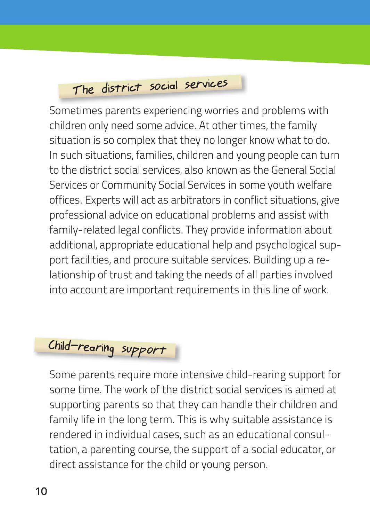# The district social services

Sometimes parents experiencing worries and problems with children only need some advice. At other times, the family situation is so complex that they no longer know what to do. In such situations, families, children and young people can turn to the district social services, also known as the General Social Services or Community Social Services in some youth welfare offices. Experts will act as arbitrators in conflict situations, give professional advice on educational problems and assist with family-related legal conflicts. They provide information about additional, appropriate educational help and psychological support facilities, and procure suitable services. Building up a relationship of trust and taking the needs of all parties involved into account are important requirements in this line of work.

# Child-rearing support

Some parents require more intensive child-rearing support for some time. The work of the district social services is aimed at supporting parents so that they can handle their children and family life in the long term. This is why suitable assistance is rendered in individual cases, such as an educational consultation, a parenting course, the support of a social educator, or direct assistance for the child or young person.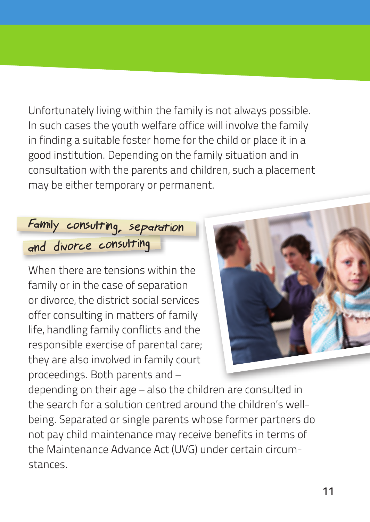Unfortunately living within the family is not always possible. In such cases the youth welfare office will involve the family in finding a suitable foster home for the child or place it in a good institution. Depending on the family situation and in consultation with the parents and children, such a placement may be either temporary or permanent.

## Family consulting, separation and divorce consulting

When there are tensions within the family or in the case of separation or divorce, the district social services offer consulting in matters of family life, handling family conflicts and the responsible exercise of parental care; they are also involved in family court proceedings. Both parents and –



depending on their age – also the children are consulted in the search for a solution centred around the children's wellbeing. Separated or single parents whose former partners do not pay child maintenance may receive benefits in terms of the Maintenance Advance Act (UVG) under certain circumstances.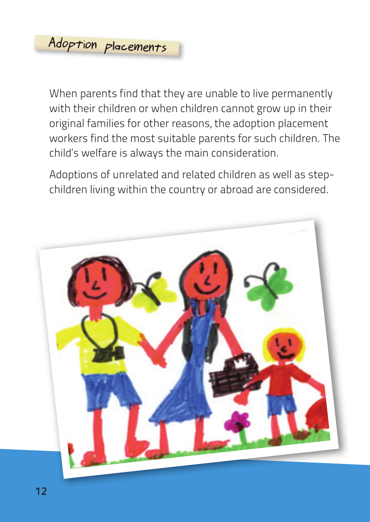When parents find that they are unable to live permanently with their children or when children cannot grow up in their original families for other reasons, the adoption placement workers find the most suitable parents for such children. The child's welfare is always the main consideration.

Adoptions of unrelated and related children as well as stepchildren living within the country or abroad are considered.

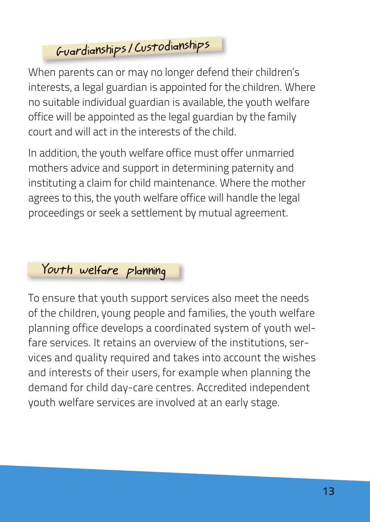## Guardianships /Custodianships

When parents can or may no longer defend their children's interests, a legal guardian is appointed for the children. Where no suitable individual guardian is available, the youth welfare office will be appointed as the legal guardian by the family court and will act in the interests of the child.

In addition, the youth welfare office must offer unmarried mothers advice and support in determining paternity and instituting a claim for child maintenance. Where the mother agrees to this, the youth welfare office will handle the legal proceedings or seek a settlement by mutual agreement.

## Youth welfare planning

To ensure that youth support services also meet the needs of the children, young people and families, the youth welfare planning office develops a coordinated system of youth welfare services. It retains an overview of the institutions, services and quality required and takes into account the wishes and interests of their users, for example when planning the demand for child day-care centres. Accredited independent youth welfare services are involved at an early stage.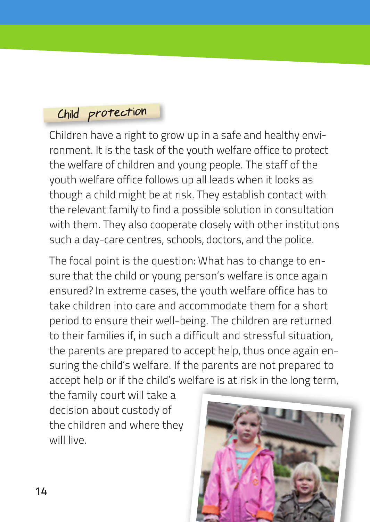## Child protection

Children have a right to grow up in a safe and healthy environment. It is the task of the youth welfare office to protect the welfare of children and young people. The staff of the youth welfare office follows up all leads when it looks as though a child might be at risk. They establish contact with the relevant family to find a possible solution in consultation with them. They also cooperate closely with other institutions such a day-care centres, schools, doctors, and the police.

The focal point is the question: What has to change to ensure that the child or young person's welfare is once again ensured? In extreme cases, the youth welfare office has to take children into care and accommodate them for a short period to ensure their well-being. The children are returned to their families if, in such a difficult and stressful situation, the parents are prepared to accept help, thus once again ensuring the child's welfare. If the parents are not prepared to accept help or if the child's welfare is at risk in the long term,

the family court will take a decision about custody of the children and where they will live.

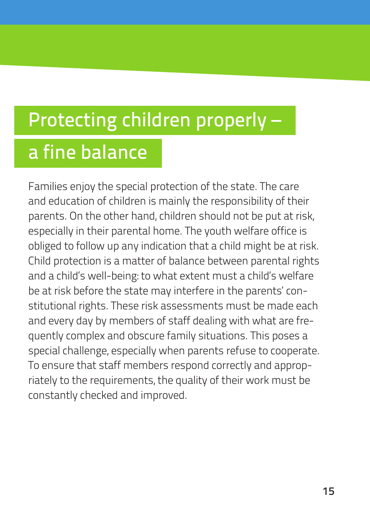# Protecting children properly –

# a fine balance

Families enjoy the special protection of the state. The care and education of children is mainly the responsibility of their parents. On the other hand, children should not be put at risk, especially in their parental home. The youth welfare office is obliged to follow up any indication that a child might be at risk. Child protection is a matter of balance between parental rights and a child's well-being: to what extent must a child's welfare be at risk before the state may interfere in the parents' constitutional rights. These risk assessments must be made each and every day by members of staff dealing with what are frequently complex and obscure family situations. This poses a special challenge, especially when parents refuse to cooperate. To ensure that staff members respond correctly and appropriately to the requirements, the quality of their work must be constantly checked and improved.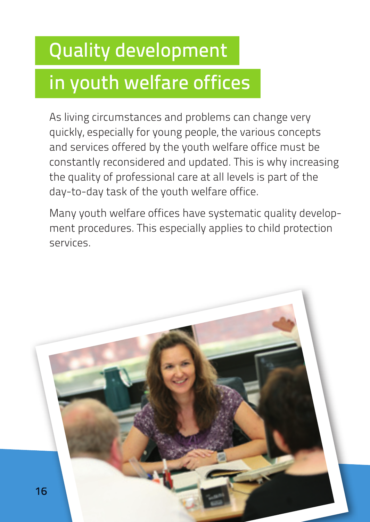# Quality development

# in youth welfare offices

As living circumstances and problems can change very quickly, especially for young people, the various concepts and services offered by the youth welfare office must be constantly reconsidered and updated. This is why increasing the quality of professional care at all levels is part of the day-to-day task of the youth welfare office.

Many youth welfare offices have systematic quality development procedures. This especially applies to child protection services.

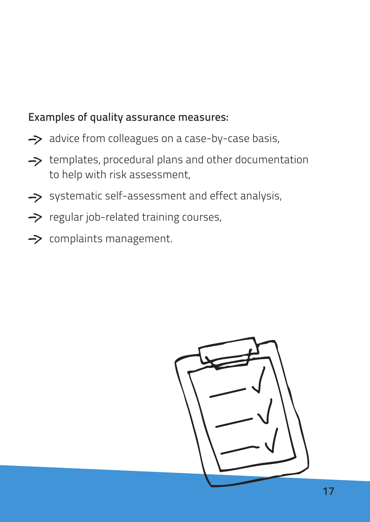### Examples of quality assurance measures:

- $\rightarrow$  advice from colleagues on a case-by-case basis,
- $\rightarrow$  templates, procedural plans and other documentation to help with risk assessment,
- Systematic self-assessment and effect analysis,
- $\rightarrow$  regular job-related training courses,
- $\rightarrow$  complaints management.

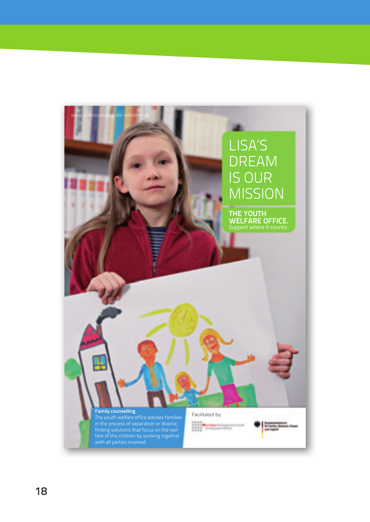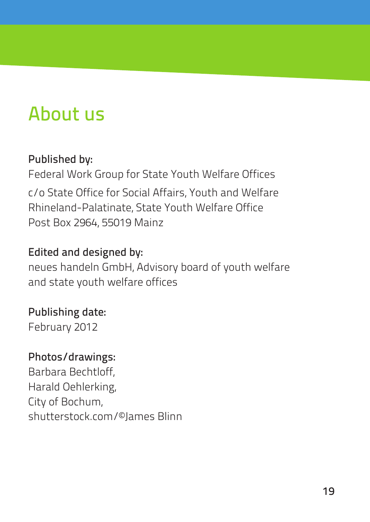# About us

## Published by:

Federal Work Group for State Youth Welfare Offices c/o State Office for Social Affairs, Youth and Welfare Rhineland-Palatinate, State Youth Welfare Office Post Box 2964, 55019 Mainz

## Edited and designed by:

neues handeln GmbH, Advisory board of youth welfare and state youth welfare offices

## Publishing date:

February 2012

#### Photos/drawings:

Barbara Bechtloff, Harald Oehlerking, City of Bochum, shutterstock.com/©James Blinn